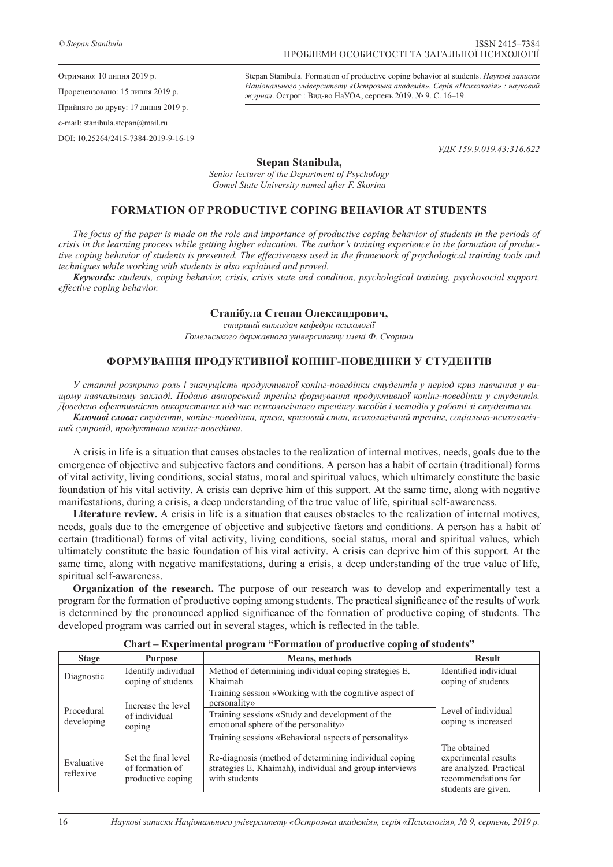Stepan Stanibula. Formation of productive coping behavior at students. *Наукові записки Національного університету «Острозька академія». Серія «Психологія» : науковий журнал*. Острог : Вид-во НаУОА, серпень 2019. № 9. С. 16–19.

*УДК 159.9.019.43:316.622*

**Stepan Stanibula,**

*Senior lecturer of the Department of Psychology Gomel State University named after F. Skorina*

## **FORMATION OF PRODUCTIVE COPING BEHAVIOR AT STUDENTS**

The focus of the paper is made on the role and importance of productive coping behavior of students in the periods of *crisis in the learning process while getting higher education. The author's training experience in the formation of productive coping behavior of students is presented. The effectiveness used in the framework of psychological training tools and techniques while working with students is also explained and proved.*

*Keywords: students, coping behavior, crisis, crisis state and condition, psychological training, psychosocial support, effective coping behavior.*

## **Станібула Степан Олександрович,**

*старший викладач кафедри психології Гомельського державного університету імені Ф. Скорини*

## **ФОРМУВАННЯ ПРОДУКТИВНОЇ КОПІНГ-ПОВЕДІНКИ У СТУДЕНТІВ**

*У статті розкрито роль і значущість продуктивної копінг-поведінки студентів у період криз навчання у вищому навчальному закладі. Подано авторський тренінг формування продуктивної копінг-поведінки у студентів. Доведено ефективність використаних під час психологічного тренінгу засобів і методів у роботі зі студентами. Ключові слова: студенти, копінг-поведінка, криза, кризовий стан, психологічний тренінг, соціально-психологіч-*

*ний супровід, продуктивна копінг-поведінка.*

A crisis in life is a situation that causes obstacles to the realization of internal motives, needs, goals due to the emergence of objective and subjective factors and conditions. A person has a habit of certain (traditional) forms of vital activity, living conditions, social status, moral and spiritual values, which ultimately constitute the basic foundation of his vital activity. A crisis can deprive him of this support. At the same time, along with negative manifestations, during a crisis, a deep understanding of the true value of life, spiritual self-awareness.

**Literature review.** A crisis in life is a situation that causes obstacles to the realization of internal motives, needs, goals due to the emergence of objective and subjective factors and conditions. A person has a habit of certain (traditional) forms of vital activity, living conditions, social status, moral and spiritual values, which ultimately constitute the basic foundation of his vital activity. A crisis can deprive him of this support. At the same time, along with negative manifestations, during a crisis, a deep understanding of the true value of life, spiritual self-awareness.

**Organization of the research.** The purpose of our research was to develop and experimentally test a program for the formation of productive coping among students. The practical significance of the results of work is determined by the pronounced applied significance of the formation of productive coping of students. The developed program was carried out in several stages, which is reflected in the table.

| <b>Stage</b>             | <b>Purpose</b>                                              | <b>Means, methods</b>                                                                                                             | <b>Result</b>                              |
|--------------------------|-------------------------------------------------------------|-----------------------------------------------------------------------------------------------------------------------------------|--------------------------------------------|
| Diagnostic               | Identify individual                                         | Method of determining individual coping strategies E.                                                                             | Identified individual                      |
|                          | coping of students                                          | Khaimah                                                                                                                           | coping of students                         |
| Procedural<br>developing | Increase the level<br>of individual<br>coping               | Training session «Working with the cognitive aspect of                                                                            | Level of individual<br>coping is increased |
|                          |                                                             | personality»                                                                                                                      |                                            |
|                          |                                                             | Training sessions «Study and development of the                                                                                   |                                            |
|                          |                                                             | emotional sphere of the personality»                                                                                              |                                            |
|                          |                                                             | Training sessions «Behavioral aspects of personality»                                                                             |                                            |
| Evaluative<br>reflexive  | Set the final level<br>of formation of<br>productive coping | Re-diagnosis (method of determining individual coping<br>strategies E. Khaimah), individual and group interviews<br>with students | The obtained                               |
|                          |                                                             |                                                                                                                                   | experimental results                       |
|                          |                                                             |                                                                                                                                   | are analyzed. Practical                    |
|                          |                                                             |                                                                                                                                   | recommendations for                        |
|                          |                                                             |                                                                                                                                   | students are given.                        |

**Chart – Experimental program "Formation of productive coping of students"**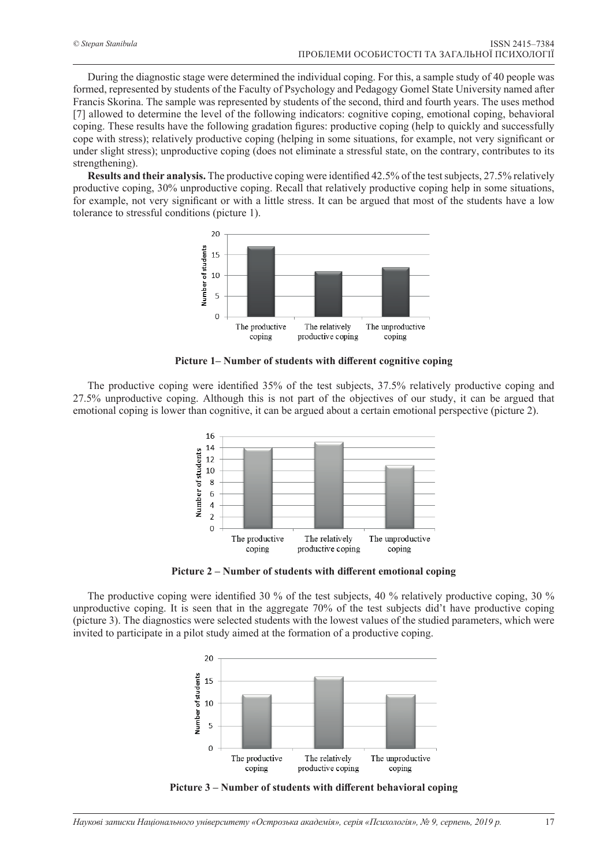During the diagnostic stage were determined the individual coping. For this, a sample study of 40 people was formed, represented by students of the Faculty of Psychology and Pedagogy Gomel State University named after Francis Skorina. The sample was represented by students of the second, third and fourth years. The uses method [7] allowed to determine the level of the following indicators: cognitive coping, emotional coping, behavioral coping. These results have the following gradation figures: productive coping (help to quickly and successfully cope with stress); relatively productive coping (helping in some situations, for example, not very significant or under slight stress); unproductive coping (does not eliminate a stressful state, on the contrary, contributes to its strengthening).

**Results and their analysis.** The productive coping were identified 42.5% of the test subjects, 27.5% relatively productive coping, 30% unproductive coping. Recall that relatively productive coping help in some situations, for example, not very significant or with a little stress. It can be argued that most of the students have a low tolerance to stressful conditions (picture 1).



**Picture 1– Number of students with different cognitive coping** 

The productive coping were identified 35% of the test subjects, 37.5% relatively productive coping and 27.5% unproductive coping. Although this is not part of the objectives of our study, it can be argued that emotional coping is lower than cognitive, it can be argued about a certain emotional perspective (picture 2).



Picture 2 – Number of students with different emotional coping

The productive coping were identified 30 % of the test subjects, 40 % relatively productive coping, 30 % unproductive coping. It is seen that in the aggregate 70% of the test subjects did't have productive coping (picture 3). The diagnostics were selected students with the lowest values of the studied parameters, which were invited to participate in a pilot study aimed at the formation of a productive coping.



Picture 3 – Number of students with different behavioral coping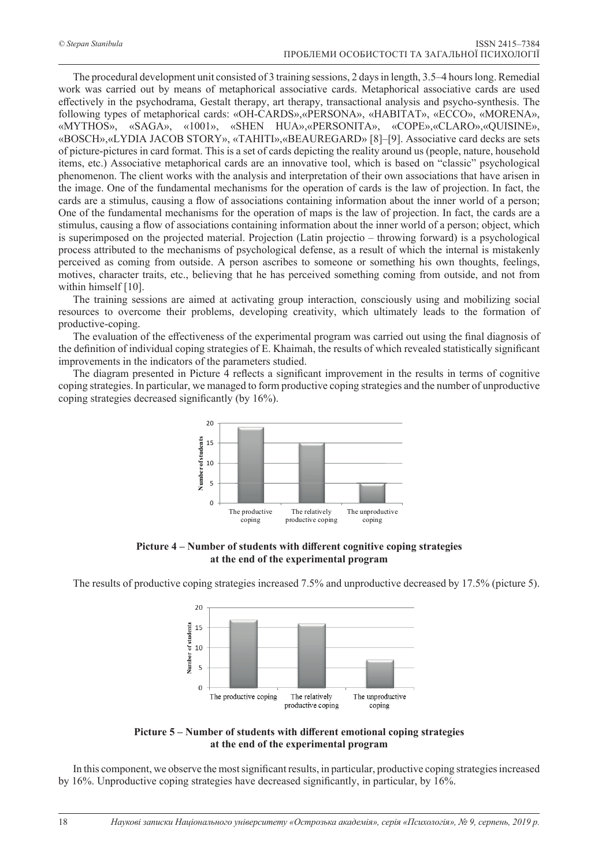The procedural development unit consisted of 3 training sessions, 2 days in length, 3.5–4 hours long. Remedial work was carried out by means of metaphorical associative cards. Metaphorical associative cards are used effectively in the psychodrama, Gestalt therapy, art therapy, transactional analysis and psycho-synthesis. The following types of metaphorical cards: «OH-CARDS»,«PERSONA», «HABITAT», «ECCO», «MORENA», «MYTHOS», «SAGA», «1001», «SHEN HUA»,«PERSONITA», «COPE»,«CLARO»,«QUISINE», «BOSCH»,«LYDIA JACOB STORY», «TAHITI»,«BEAUREGARD» [8]–[9]. Associative card decks are sets of picture-pictures in card format. This is a set of cards depicting the reality around us (people, nature, household items, etc.) Associative metaphorical cards are an innovative tool, which is based on "classic" psychological phenomenon. The client works with the analysis and interpretation of their own associations that have arisen in the image. One of the fundamental mechanisms for the operation of cards is the law of projection. In fact, the cards are a stimulus, causing a flow of associations containing information about the inner world of a person; One of the fundamental mechanisms for the operation of maps is the law of projection. In fact, the cards are a stimulus, causing a flow of associations containing information about the inner world of a person; object, which is superimposed on the projected material. Projection (Latin projectio – throwing forward) is a psychological process attributed to the mechanisms of psychological defense, as a result of which the internal is mistakenly perceived as coming from outside. A person ascribes to someone or something his own thoughts, feelings, motives, character traits, etc., believing that he has perceived something coming from outside, and not from within himself [10].

The training sessions are aimed at activating group interaction, consciously using and mobilizing social resources to overcome their problems, developing creativity, which ultimately leads to the formation of productive-coping.

The evaluation of the effectiveness of the experimental program was carried out using the final diagnosis of the definition of individual coping strategies of E. Khaimah, the results of which revealed statistically significant improvements in the indicators of the parameters studied.

The diagram presented in Picture 4 reflects a significant improvement in the results in terms of cognitive coping strategies. In particular, we managed to form productive coping strategies and the number of unproductive coping strategies decreased significantly (by 16%).



Picture 4 – Number of students with different cognitive coping strategies **at the end of the experimental program**

The results of productive coping strategies increased 7.5% and unproductive decreased by 17.5% (picture 5).





In this component, we observe the most significant results, in particular, productive coping strategies increased by 16%. Unproductive coping strategies have decreased significantly, in particular, by 16%.